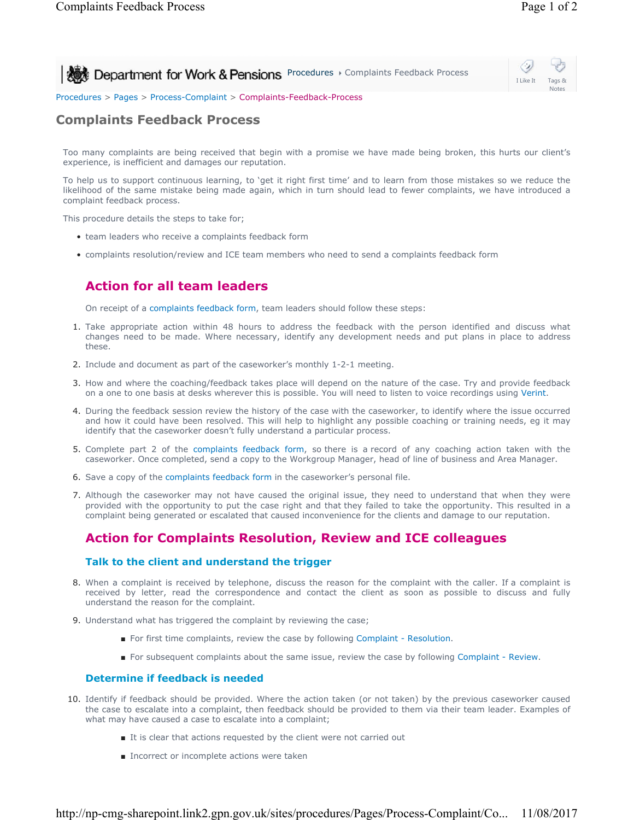

I Like It Tags & Notes

Procedures > Pages > Process-Complaint > Complaints-Feedback-Process

## **Complaints Feedback Process**

Too many complaints are being received that begin with a promise we have made being broken, this hurts our client's experience, is inefficient and damages our reputation.

To help us to support continuous learning, to 'get it right first time' and to learn from those mistakes so we reduce the likelihood of the same mistake being made again, which in turn should lead to fewer complaints, we have introduced a complaint feedback process.

This procedure details the steps to take for;

- team leaders who receive a complaints feedback form
- complaints resolution/review and ICE team members who need to send a complaints feedback form

## **Action for all team leaders**

On receipt of a complaints feedback form, team leaders should follow these steps:

- 1. Take appropriate action within 48 hours to address the feedback with the person identified and discuss what changes need to be made. Where necessary, identify any development needs and put plans in place to address these.
- 2. Include and document as part of the caseworker's monthly 1-2-1 meeting.
- 3. How and where the coaching/feedback takes place will depend on the nature of the case. Try and provide feedback on a one to one basis at desks wherever this is possible. You will need to listen to voice recordings using Verint.
- 4. During the feedback session review the history of the case with the caseworker, to identify where the issue occurred and how it could have been resolved. This will help to highlight any possible coaching or training needs, eg it may identify that the caseworker doesn't fully understand a particular process.
- 5. Complete part 2 of the complaints feedback form, so there is a record of any coaching action taken with the caseworker. Once completed, send a copy to the Workgroup Manager, head of line of business and Area Manager.
- 6. Save a copy of the complaints feedback form in the caseworker's personal file.
- Although the caseworker may not have caused the original issue, they need to understand that when they were 7. provided with the opportunity to put the case right and that they failed to take the opportunity. This resulted in a complaint being generated or escalated that caused inconvenience for the clients and damage to our reputation.

## **Action for Complaints Resolution, Review and ICE colleagues**

#### **Talk to the client and understand the trigger**

- 8. When a complaint is received by telephone, discuss the reason for the complaint with the caller. If a complaint is received by letter, read the correspondence and contact the client as soon as possible to discuss and fully understand the reason for the complaint.
- 9. Understand what has triggered the complaint by reviewing the case;
	- For first time complaints, review the case by following Complaint Resolution.
	- For subsequent complaints about the same issue, review the case by following Complaint Review.

#### **Determine if feedback is needed**

- Identify if feedback should be provided. Where the action taken (or not taken) by the previous caseworker caused 10. the case to escalate into a complaint, then feedback should be provided to them via their team leader. Examples of what may have caused a case to escalate into a complaint;
	- It is clear that actions requested by the client were not carried out
	- Incorrect or incomplete actions were taken